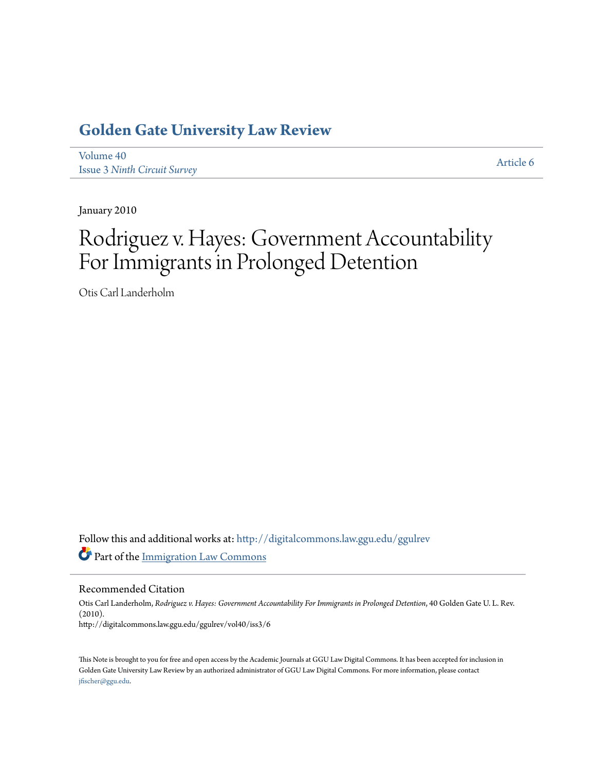# **[Golden Gate University Law Review](http://digitalcommons.law.ggu.edu/ggulrev?utm_source=digitalcommons.law.ggu.edu%2Fggulrev%2Fvol40%2Fiss3%2F6&utm_medium=PDF&utm_campaign=PDFCoverPages)**

[Volume 40](http://digitalcommons.law.ggu.edu/ggulrev/vol40?utm_source=digitalcommons.law.ggu.edu%2Fggulrev%2Fvol40%2Fiss3%2F6&utm_medium=PDF&utm_campaign=PDFCoverPages) Issue 3 *[Ninth Circuit Survey](http://digitalcommons.law.ggu.edu/ggulrev/vol40/iss3?utm_source=digitalcommons.law.ggu.edu%2Fggulrev%2Fvol40%2Fiss3%2F6&utm_medium=PDF&utm_campaign=PDFCoverPages)*

[Article 6](http://digitalcommons.law.ggu.edu/ggulrev/vol40/iss3/6?utm_source=digitalcommons.law.ggu.edu%2Fggulrev%2Fvol40%2Fiss3%2F6&utm_medium=PDF&utm_campaign=PDFCoverPages)

January 2010

# Rodriguez v. Hayes: Government Accountability For Immigrants in Prolonged Detention

Otis Carl Landerholm

Follow this and additional works at: [http://digitalcommons.law.ggu.edu/ggulrev](http://digitalcommons.law.ggu.edu/ggulrev?utm_source=digitalcommons.law.ggu.edu%2Fggulrev%2Fvol40%2Fiss3%2F6&utm_medium=PDF&utm_campaign=PDFCoverPages) Part of the [Immigration Law Commons](http://network.bepress.com/hgg/discipline/604?utm_source=digitalcommons.law.ggu.edu%2Fggulrev%2Fvol40%2Fiss3%2F6&utm_medium=PDF&utm_campaign=PDFCoverPages)

Recommended Citation

Otis Carl Landerholm, *Rodriguez v. Hayes: Government Accountability For Immigrants in Prolonged Detention*, 40 Golden Gate U. L. Rev. (2010). http://digitalcommons.law.ggu.edu/ggulrev/vol40/iss3/6

This Note is brought to you for free and open access by the Academic Journals at GGU Law Digital Commons. It has been accepted for inclusion in Golden Gate University Law Review by an authorized administrator of GGU Law Digital Commons. For more information, please contact [jfischer@ggu.edu](mailto:jfischer@ggu.edu).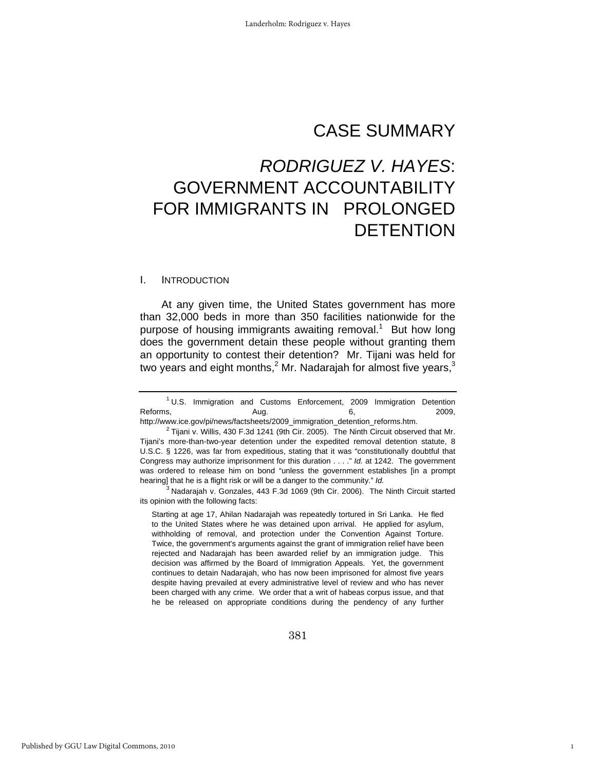# CASE SUMMARY

# *RODRIGUEZ V. HAYES*: GOVERNMENT ACCOUNTABILITY FOR IMMIGRANTS IN PROLONGED **DETENTION**

#### I. INTRODUCTION

At any given time, the United States government has more than 32,000 beds in more than 350 facilities nationwide for the purpose of housing immigrants awaiting removal. $1$  But how long does the government detain these people without granting them an opportunity to contest their detention? Mr. Tijani was held for two years and eight months,<sup>2</sup> Mr. Nadarajah for almost five years,<sup>3</sup>

 $3$  Nadarajah v. Gonzales, 443 F.3d 1069 (9th Cir. 2006). The Ninth Circuit started its opinion with the following facts:

Starting at age 17, Ahilan Nadarajah was repeatedly tortured in Sri Lanka. He fled to the United States where he was detained upon arrival. He applied for asylum, withholding of removal, and protection under the Convention Against Torture. Twice, the government's arguments against the grant of immigration relief have been rejected and Nadarajah has been awarded relief by an immigration judge. This decision was affirmed by the Board of Immigration Appeals. Yet, the government continues to detain Nadarajah, who has now been imprisoned for almost five years despite having prevailed at every administrative level of review and who has never been charged with any crime. We order that a writ of habeas corpus issue, and that he be released on appropriate conditions during the pendency of any further

1

<sup>&</sup>lt;sup>1</sup> U.S. Immigration and Customs Enforcement, 2009 Immigration Detention Reforms, Aug. 6, 2009,

http://www.ice.gov/pi/news/factsheets/2009\_immigration\_detention\_reforms.htm. 2

 $2$  Tijani v. Willis, 430 F.3d 1241 (9th Cir. 2005). The Ninth Circuit observed that Mr. Tijani's more-than-two-year detention under the expedited removal detention statute, 8 U.S.C. § 1226, was far from expeditious, stating that it was "constitutionally doubtful that Congress may authorize imprisonment for this duration . . . ." *Id.* at 1242. The government was ordered to release him on bond "unless the government establishes [in a prompt hearing] that he is a flight risk or will be a danger to the community." *Id.*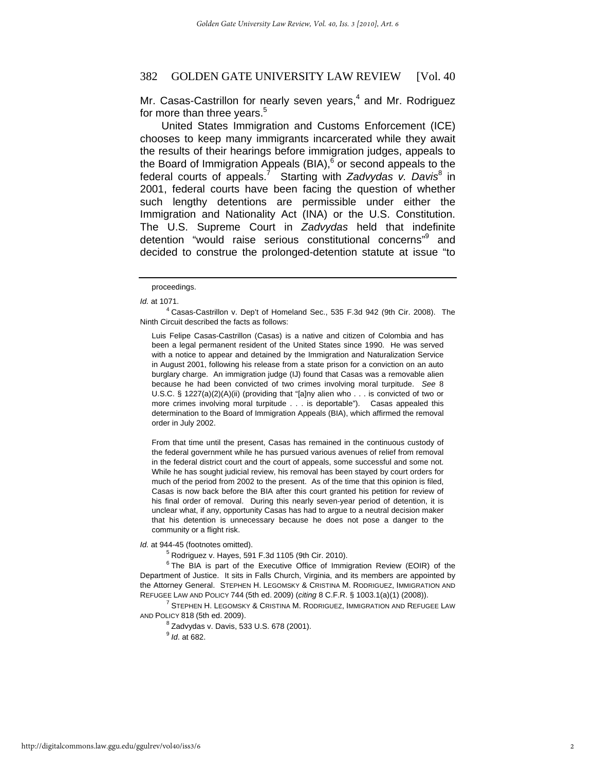Mr. Casas-Castrillon for nearly seven years,<sup>4</sup> and Mr. Rodriguez for more than three years.<sup>5</sup>

United States Immigration and Customs Enforcement (ICE) chooses to keep many immigrants incarcerated while they await the results of their hearings before immigration judges, appeals to the Board of Immigration Appeals (BIA),<sup>6</sup> or second appeals to the federal courts of appeals.<sup>7</sup> Starting with *Zadvydas v. Davis*<sup>8</sup> in 2001, federal courts have been facing the question of whether such lengthy detentions are permissible under either the Immigration and Nationality Act (INA) or the U.S. Constitution. The U.S. Supreme Court in *Zadvydas* held that indefinite detention "would raise serious constitutional concerns"<sup>9</sup> and decided to construe the prolonged-detention statute at issue "to

 $4$  Casas-Castrillon v. Dep't of Homeland Sec., 535 F.3d 942 (9th Cir. 2008). The Ninth Circuit described the facts as follows:

Luis Felipe Casas-Castrillon (Casas) is a native and citizen of Colombia and has been a legal permanent resident of the United States since 1990. He was served with a notice to appear and detained by the Immigration and Naturalization Service in August 2001, following his release from a state prison for a conviction on an auto burglary charge. An immigration judge (IJ) found that Casas was a removable alien because he had been convicted of two crimes involving moral turpitude. *See* 8 U.S.C. § 1227(a)(2)(A)(ii) (providing that "[a]ny alien who . . . is convicted of two or more crimes involving moral turpitude . . . is deportable"). Casas appealed this determination to the Board of Immigration Appeals (BIA), which affirmed the removal order in July 2002.

From that time until the present, Casas has remained in the continuous custody of the federal government while he has pursued various avenues of relief from removal in the federal district court and the court of appeals, some successful and some not. While he has sought judicial review, his removal has been stayed by court orders for much of the period from 2002 to the present. As of the time that this opinion is filed, Casas is now back before the BIA after this court granted his petition for review of his final order of removal. During this nearly seven-year period of detention, it is unclear what, if any, opportunity Casas has had to argue to a neutral decision maker that his detention is unnecessary because he does not pose a danger to the community or a flight risk.

*Id.* at 944-45 (footnotes omitted).

 $5$  Rodriguez v. Hayes, 591 F.3d 1105 (9th Cir. 2010).

 $6$  The BIA is part of the Executive Office of Immigration Review (EOIR) of the Department of Justice. It sits in Falls Church, Virginia, and its members are appointed by the Attorney General. STEPHEN H. LEGOMSKY & CRISTINA M. RODRIGUEZ, IMMIGRATION AND REFUGEE LAW AND POLICY 744 (5th ed. 2009) (*citing* 8 C.F.R. § 1003.1(a)(1) (2008)). 7

 $^7$  Stephen H. Legomsky & Cristina M. Rodriguez, Immigration and Refugee Law AND POLICY 818 (5th ed. 2009). 8

 $8$  Zadvydas v. Davis, 533 U.S. 678 (2001). 9  *Id*. at 682.

proceedings.

*Id.* at 1071.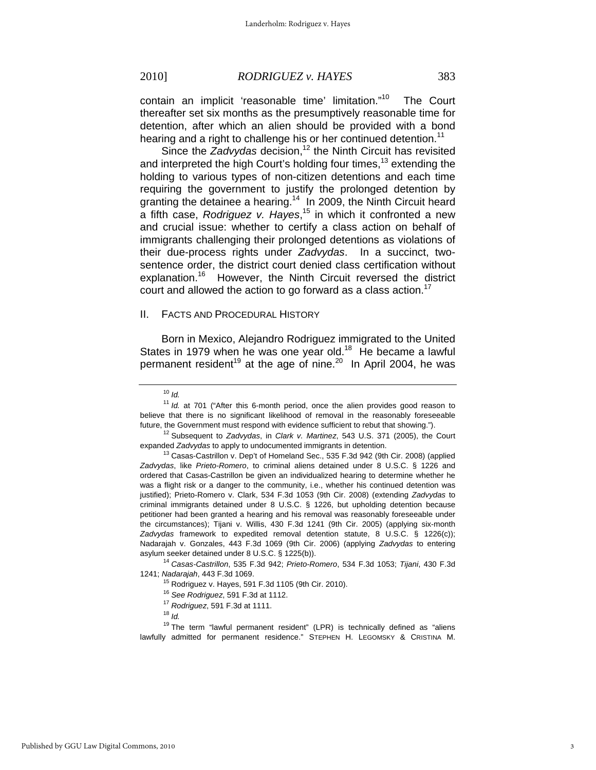contain an implicit 'reasonable time' limitation."10 The Court thereafter set six months as the presumptively reasonable time for detention, after which an alien should be provided with a bond hearing and a right to challenge his or her continued detention.<sup>11</sup>

Since the *Zadvydas* decision,<sup>12</sup> the Ninth Circuit has revisited and interpreted the high Court's holding four times,<sup>13</sup> extending the holding to various types of non-citizen detentions and each time requiring the government to justify the prolonged detention by granting the detainee a hearing.<sup>14</sup> In 2009, the Ninth Circuit heard a fifth case, *Rodriguez v. Hayes*, 15 in which it confronted a new and crucial issue: whether to certify a class action on behalf of immigrants challenging their prolonged detentions as violations of their due-process rights under *Zadvydas*. In a succinct, twosentence order, the district court denied class certification without explanation.<sup>16</sup> However, the Ninth Circuit reversed the district court and allowed the action to go forward as a class action.<sup>17</sup>

#### II. FACTS AND PROCEDURAL HISTORY

Born in Mexico, Alejandro Rodriguez immigrated to the United States in 1979 when he was one year old.<sup>18</sup> He became a lawful permanent resident<sup>19</sup> at the age of nine.<sup>20</sup> In April 2004, he was

asylum seeker detained under 8 U.S.C. § 1225(b)). 14 *Casas-Castrillon*, 535 F.3d 942; *Prieto-Romero*, 534 F.3d 1053; *Tijani*, 430 F.3d 1241; *Nadarajah*, 443 F.3d 1069. 15 Rodriguez v. Hayes, 591 F.3d 1105 (9th Cir. 2010).

<sup>10</sup> *Id.*

<sup>&</sup>lt;sup>11</sup> Id. at 701 ("After this 6-month period, once the alien provides good reason to believe that there is no significant likelihood of removal in the reasonably foreseeable

future, the Government must respond with evidence sufficient to rebut that showing."). 12 Subsequent to *Zadvydas*, in *Clark v. Martinez*, 543 U.S. 371 (2005), the Court

expanded *Zadvydas* to apply to undocumented immigrants in detention.<br><sup>13</sup> Casas-Castrillon v. Dep't of Homeland Sec., 535 F.3d 942 (9th Cir. 2008) (applied *Zadvydas*, like *Prieto-Romero*, to criminal aliens detained under 8 U.S.C. § 1226 and ordered that Casas-Castrillon be given an individualized hearing to determine whether he was a flight risk or a danger to the community, i.e., whether his continued detention was justified); Prieto-Romero v. Clark, 534 F.3d 1053 (9th Cir. 2008) (extending *Zadvydas* to criminal immigrants detained under 8 U.S.C. § 1226, but upholding detention because petitioner had been granted a hearing and his removal was reasonably foreseeable under the circumstances); Tijani v. Willis, 430 F.3d 1241 (9th Cir. 2005) (applying six-month *Zadvydas* framework to expedited removal detention statute, 8 U.S.C. § 1226(c)); Nadarajah v. Gonzales, 443 F.3d 1069 (9th Cir. 2006) (applying *Zadvydas* to entering

<sup>16</sup> *See Rodriguez*, 591 F.3d at 1112. 17 *Rodriguez*, 591 F.3d at 1111. 18 *Id.*

 $19$  The term "lawful permanent resident" (LPR) is technically defined as "aliens lawfully admitted for permanent residence." STEPHEN H. LEGOMSKY & CRISTINA M.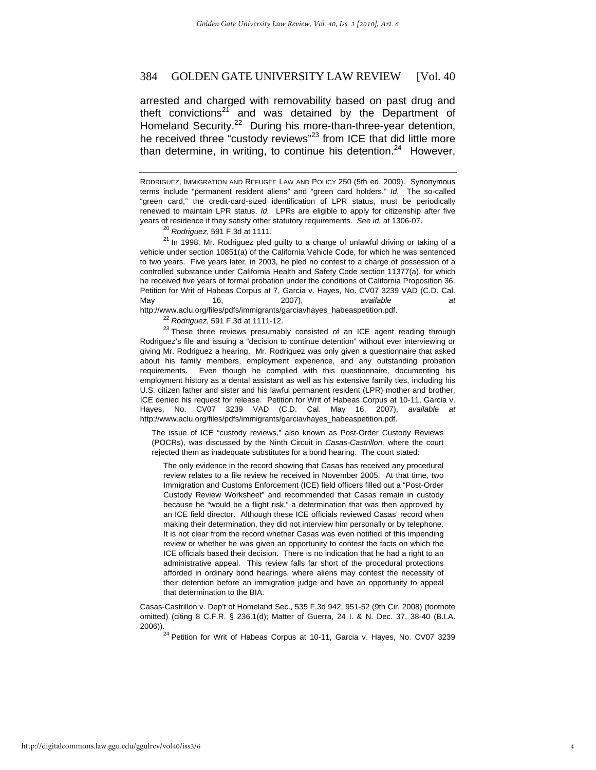arrested and charged with removability based on past drug and theft convictions<sup>21</sup> and was detained by the Department of Homeland Security.<sup>22</sup> During his more-than-three-year detention, he received three "custody reviews"<sup>23</sup> from ICE that did little more than determine, in writing, to continue his detention. $24$  However.

years of residence if they satisfy other statutory requirements. *See id.* at 1306-07.<br><sup>20</sup> *Rodriguez*, 591 F.3d at 1111.<br><sup>21</sup> In 1998, Mr. Rodriguez pled guilty to a charge of unlawful driving or taking of a vehicle under section 10851(a) of the California Vehicle Code, for which he was sentenced to two years. Five years later, in 2003, he pled no contest to a charge of possession of a controlled substance under California Health and Safety Code section 11377(a), for which he received five years of formal probation under the conditions of California Proposition 36. Petition for Writ of Habeas Corpus at 7, Garcia v. Hayes, No. CV07 3239 VAD (C.D. Cal. May 16, 2007), *available at* 

http://www.aclu.org/files/pdfs/immigrants/garciavhayes\_habeaspetition.pdf.<br><sup>22</sup> Rodriguez, 591 F.3d at 1111-12.<br><sup>23</sup> These three reviews presumably consisted of an ICE agent reading through Rodriguez's file and issuing a "decision to continue detention" without ever interviewing or giving Mr. Rodriguez a hearing. Mr. Rodriguez was only given a questionnaire that asked about his family members, employment experience, and any outstanding probation requirements. Even though he complied with this questionnaire, documenting his employment history as a dental assistant as well as his extensive family ties, including his U.S. citizen father and sister and his lawful permanent resident (LPR) mother and brother, ICE denied his request for release. Petition for Writ of Habeas Corpus at 10-11, Garcia v. Hayes, No. CV07 3239 VAD (C.D. Cal. May 16, 2007), *available at*  http://www.aclu.org/files/pdfs/immigrants/garciavhayes\_habeaspetition.pdf.

The issue of ICE "custody reviews," also known as Post-Order Custody Reviews (POCRs), was discussed by the Ninth Circuit in *Casas-Castrillon,* where the court rejected them as inadequate substitutes for a bond hearing. The court stated:

The only evidence in the record showing that Casas has received any procedural review relates to a file review he received in November 2005. At that time, two Immigration and Customs Enforcement (ICE) field officers filled out a "Post-Order Custody Review Worksheet" and recommended that Casas remain in custody because he "would be a flight risk," a determination that was then approved by an ICE field director. Although these ICE officials reviewed Casas' record when making their determination, they did not interview him personally or by telephone. It is not clear from the record whether Casas was even notified of this impending review or whether he was given an opportunity to contest the facts on which the ICE officials based their decision. There is no indication that he had a right to an administrative appeal. This review falls far short of the procedural protections afforded in ordinary bond hearings, where aliens may contest the necessity of their detention before an immigration judge and have an opportunity to appeal that determination to the BIA.

Casas-Castrillon v. Dep't of Homeland Sec., 535 F.3d 942, 951-52 (9th Cir. 2008) (footnote omitted) (citing 8 C.F.R. § 236.1(d); Matter of Guerra, 24 I. & N. Dec. 37, 38-40 (B.I.A.

 $24$  Petition for Writ of Habeas Corpus at 10-11, Garcia v. Hayes, No. CV07 3239

RODRIGUEZ, IMMIGRATION AND REFUGEE LAW AND POLICY 250 (5th ed. 2009). Synonymous terms include "permanent resident aliens" and "green card holders." *Id.* The so-called "green card," the credit-card-sized identification of LPR status, must be periodically renewed to maintain LPR status. *Id.* LPRs are eligible to apply for citizenship after five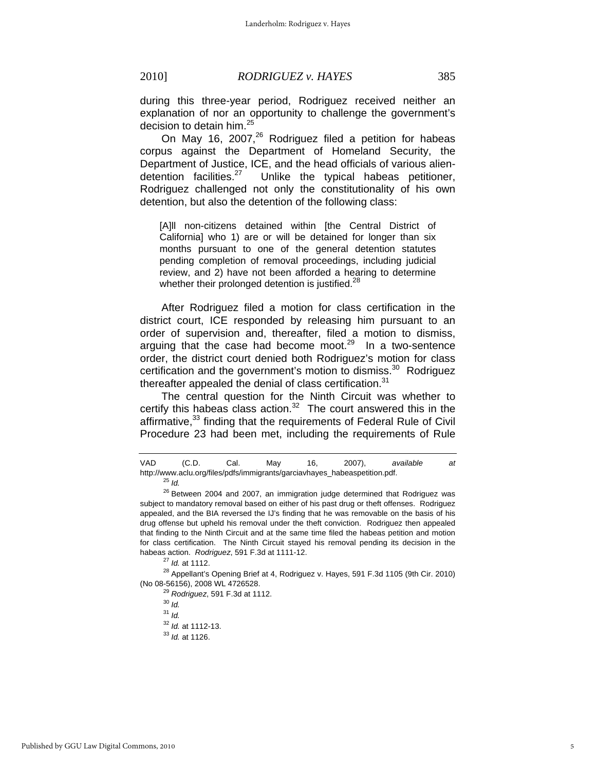during this three-year period, Rodriguez received neither an explanation of nor an opportunity to challenge the government's decision to detain him.<sup>25</sup>

On May 16, 2007, $^{26}$  Rodriguez filed a petition for habeas corpus against the Department of Homeland Security, the Department of Justice, ICE, and the head officials of various aliendetention facilities. $27$  Unlike the typical habeas petitioner, Rodriguez challenged not only the constitutionality of his own detention, but also the detention of the following class:

[A]ll non-citizens detained within [the Central District of California] who 1) are or will be detained for longer than six months pursuant to one of the general detention statutes pending completion of removal proceedings, including judicial review, and 2) have not been afforded a hearing to determine whether their prolonged detention is justified.<sup>28</sup>

After Rodriguez filed a motion for class certification in the district court, ICE responded by releasing him pursuant to an order of supervision and, thereafter, filed a motion to dismiss, arguing that the case had become moot.<sup>29</sup> In a two-sentence order, the district court denied both Rodriguez's motion for class certification and the government's motion to dismiss. $30$  Rodriguez thereafter appealed the denial of class certification. $31$ 

The central question for the Ninth Circuit was whether to certify this habeas class action. $32$  The court answered this in the affirmative, $33$  finding that the requirements of Federal Rule of Civil Procedure 23 had been met, including the requirements of Rule

VAD (C.D. Cal. May 16, 2007), *available at*  http://www.aclu.org/files/pdfs/immigrants/garciavhayes\_habeaspetition.pdf. 25 *Id.*

 $26$  Between 2004 and 2007, an immigration judge determined that Rodriguez was subject to mandatory removal based on either of his past drug or theft offenses. Rodriguez appealed, and the BIA reversed the IJ's finding that he was removable on the basis of his drug offense but upheld his removal under the theft conviction. Rodriguez then appealed that finding to the Ninth Circuit and at the same time filed the habeas petition and motion for class certification. The Ninth Circuit stayed his removal pending its decision in the

habeas action. *Rodriguez*, 591 F.3d at 1111-12.<br><sup>27</sup> *Id.* at 1112.<br><sup>28</sup> Appellant's Opening Brief at 4, Rodriguez v. Hayes, 591 F.3d 1105 (9th Cir. 2010)<br>(No 08-56156), 2008 WL 4726528.

<sup>&</sup>lt;sup>29</sup> Rodriguez, 591 F.3d at 1112.<br><sup>30</sup> *Id* 

<sup>31</sup> *Id.*

<sup>32</sup> *Id.* at 1112-13. 33 *Id.* at 1126.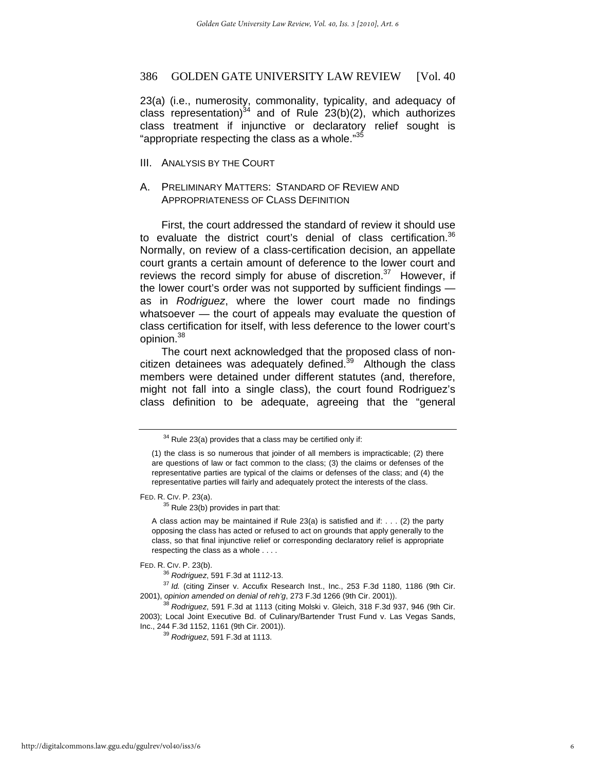23(a) (i.e., numerosity, commonality, typicality, and adequacy of class representation) $34$  and of Rule 23(b)(2), which authorizes class treatment if injunctive or declaratory relief sought is "appropriate respecting the class as a whole."<sup>35</sup>

III. ANALYSIS BY THE COURT

# A. PRELIMINARY MATTERS: STANDARD OF REVIEW AND APPROPRIATENESS OF CLASS DEFINITION

First, the court addressed the standard of review it should use to evaluate the district court's denial of class certification.<sup>36</sup> Normally, on review of a class-certification decision, an appellate court grants a certain amount of deference to the lower court and reviews the record simply for abuse of discretion. $37$  However, if the lower court's order was not supported by sufficient findings as in *Rodriguez*, where the lower court made no findings whatsoever — the court of appeals may evaluate the question of class certification for itself, with less deference to the lower court's opinion.38

The court next acknowledged that the proposed class of noncitizen detainees was adequately defined. $39$  Although the class members were detained under different statutes (and, therefore, might not fall into a single class), the court found Rodriguez's class definition to be adequate, agreeing that the "general

FED. R. CIV. P. 23(a).<br> $35$  Rule 23(b) provides in part that:

A class action may be maintained if Rule 23(a) is satisfied and if: . . . (2) the party opposing the class has acted or refused to act on grounds that apply generally to the class, so that final injunctive relief or corresponding declaratory relief is appropriate respecting the class as a whole . . . .

 $34$  Rule 23(a) provides that a class may be certified only if:

<sup>(1)</sup> the class is so numerous that joinder of all members is impracticable; (2) there are questions of law or fact common to the class; (3) the claims or defenses of the representative parties are typical of the claims or defenses of the class; and (4) the representative parties will fairly and adequately protect the interests of the class.

FED. R. CIV. P. 23(b). 36 *Rodriguez*, 591 F.3d at 1112-13. 37 *Id.* (citing Zinser v. Accufix Research Inst., Inc., 253 F.3d 1180, 1186 (9th Cir. 2001), *opinion amended on denial of reh'g*, 273 F.3d 1266 (9th Cir. 2001)). 38 *Rodriguez*, 591 F.3d at 1113 (citing Molski v. Gleich, 318 F.3d 937, 946 (9th Cir.

<sup>2003);</sup> Local Joint Executive Bd. of Culinary/Bartender Trust Fund v. Las Vegas Sands,

Inc., 244 F.3d 1152, 1161 (9th Cir. 2001)). 39 *Rodriguez*, 591 F.3d at 1113.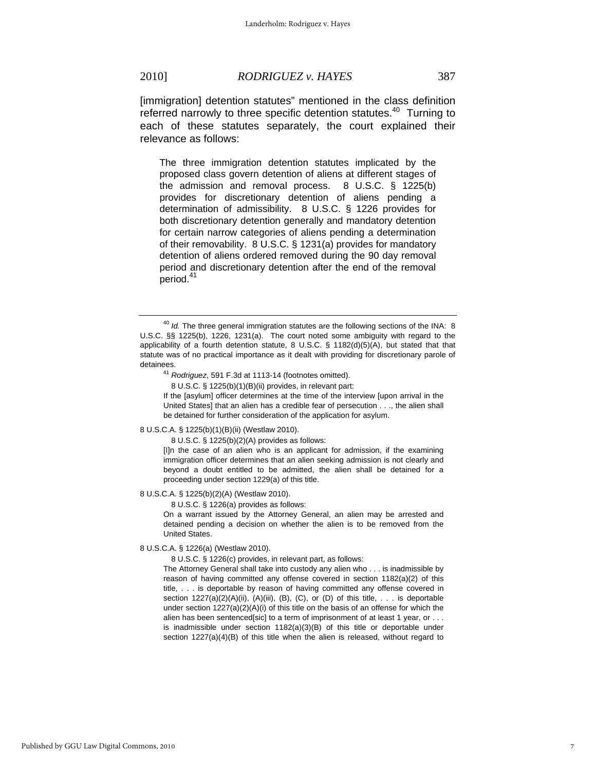[immigration] detention statutes" mentioned in the class definition referred narrowly to three specific detention statutes.<sup>40</sup> Turning to each of these statutes separately, the court explained their relevance as follows:

The three immigration detention statutes implicated by the proposed class govern detention of aliens at different stages of the admission and removal process. 8 U.S.C. § 1225(b) provides for discretionary detention of aliens pending a determination of admissibility. 8 U.S.C. § 1226 provides for both discretionary detention generally and mandatory detention for certain narrow categories of aliens pending a determination of their removability. 8 U.S.C. § 1231(a) provides for mandatory detention of aliens ordered removed during the 90 day removal period and discretionary detention after the end of the removal period.<sup>41</sup>

If the [asylum] officer determines at the time of the interview [upon arrival in the United States] that an alien has a credible fear of persecution . . ., the alien shall be detained for further consideration of the application for asylum.

#### 8 U.S.C.A. § 1225(b)(1)(B)(ii) (Westlaw 2010).

8 U.S.C. § 1225(b)(2)(A) provides as follows:

[I]n the case of an alien who is an applicant for admission, if the examining immigration officer determines that an alien seeking admission is not clearly and beyond a doubt entitled to be admitted, the alien shall be detained for a proceeding under section 1229(a) of this title.

#### 8 U.S.C.A. § 1225(b)(2)(A) (Westlaw 2010).

8 U.S.C. § 1226(a) provides as follows:

On a warrant issued by the Attorney General, an alien may be arrested and detained pending a decision on whether the alien is to be removed from the United States.

#### 8 U.S.C.A. § 1226(a) (Westlaw 2010).

8 U.S.C. § 1226(c) provides, in relevant part, as follows:

The Attorney General shall take into custody any alien who . . . is inadmissible by reason of having committed any offense covered in section 1182(a)(2) of this title, . . . is deportable by reason of having committed any offense covered in section  $1227(a)(2)(A)(ii)$ ,  $(A)(iii)$ ,  $(B)$ ,  $(C)$ , or  $(D)$  of this title, ... is deportable under section 1227(a)(2)(A)(i) of this title on the basis of an offense for which the alien has been sentenced[sic] to a term of imprisonment of at least 1 year, or . . . is inadmissible under section 1182(a)(3)(B) of this title or deportable under section 1227(a)(4)(B) of this title when the alien is released, without regard to

<sup>&</sup>lt;sup>40</sup> Id. The three general immigration statutes are the following sections of the INA: 8 U.S.C. §§ 1225(b), 1226, 1231(a). The court noted some ambiguity with regard to the applicability of a fourth detention statute, 8 U.S.C. § 1182(d)(5)(A), but stated that that statute was of no practical importance as it dealt with providing for discretionary parole of

detainees. 41 *Rodriguez*, 591 F.3d at 1113-14 (footnotes omitted).

 <sup>8</sup> U.S.C. § 1225(b)(1)(B)(ii) provides, in relevant part: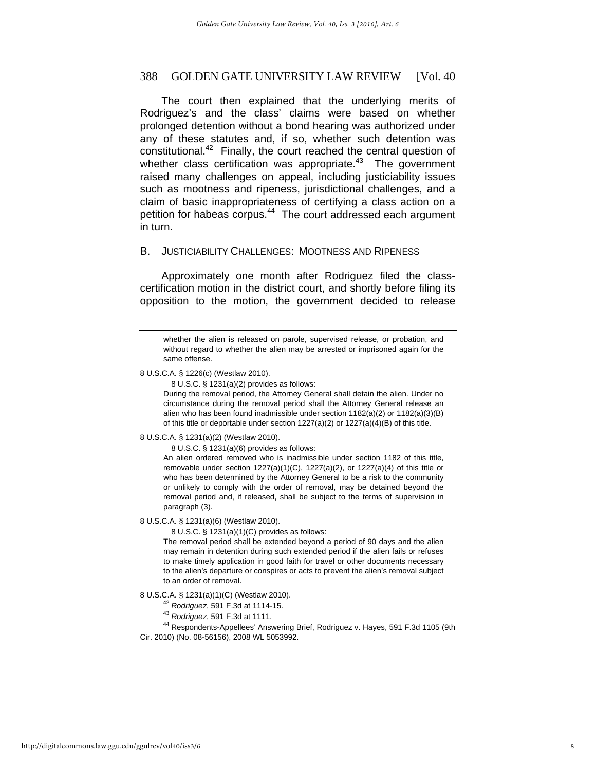The court then explained that the underlying merits of Rodriguez's and the class' claims were based on whether prolonged detention without a bond hearing was authorized under any of these statutes and, if so, whether such detention was constitutional.42 Finally, the court reached the central question of whether class certification was appropriate.<sup>43</sup> The government raised many challenges on appeal, including justiciability issues such as mootness and ripeness, jurisdictional challenges, and a claim of basic inappropriateness of certifying a class action on a petition for habeas corpus.<sup>44</sup> The court addressed each argument in turn.

### B. JUSTICIABILITY CHALLENGES: MOOTNESS AND RIPENESS

Approximately one month after Rodriguez filed the classcertification motion in the district court, and shortly before filing its opposition to the motion, the government decided to release

#### 8 U.S.C.A. § 1226(c) (Westlaw 2010).

8 U.S.C. § 1231(a)(2) provides as follows:

During the removal period, the Attorney General shall detain the alien. Under no circumstance during the removal period shall the Attorney General release an alien who has been found inadmissible under section 1182(a)(2) or 1182(a)(3)(B) of this title or deportable under section 1227(a)(2) or 1227(a)(4)(B) of this title.

8 U.S.C.A. § 1231(a)(2) (Westlaw 2010).

8 U.S.C. § 1231(a)(6) provides as follows:

An alien ordered removed who is inadmissible under section 1182 of this title, removable under section  $1227(a)(1)(C)$ ,  $1227(a)(2)$ , or  $1227(a)(4)$  of this title or who has been determined by the Attorney General to be a risk to the community or unlikely to comply with the order of removal, may be detained beyond the removal period and, if released, shall be subject to the terms of supervision in paragraph (3).

8 U.S.C.A. § 1231(a)(6) (Westlaw 2010).

8 U.S.C. § 1231(a)(1)(C) provides as follows:

The removal period shall be extended beyond a period of 90 days and the alien may remain in detention during such extended period if the alien fails or refuses to make timely application in good faith for travel or other documents necessary to the alien's departure or conspires or acts to prevent the alien's removal subject to an order of removal.

8 U.S.C.A. § 1231(a)(1)(C) (Westlaw 2010). 42 *Rodriguez*, 591 F.3d at 1114-15. 43 *Rodriguez*, 591 F.3d at 1111. 44 Respondents-Appellees' Answering Brief, Rodriguez v. Hayes, 591 F.3d 1105 (9th Cir. 2010) (No. 08-56156), 2008 WL 5053992.

whether the alien is released on parole, supervised release, or probation, and without regard to whether the alien may be arrested or imprisoned again for the same offense.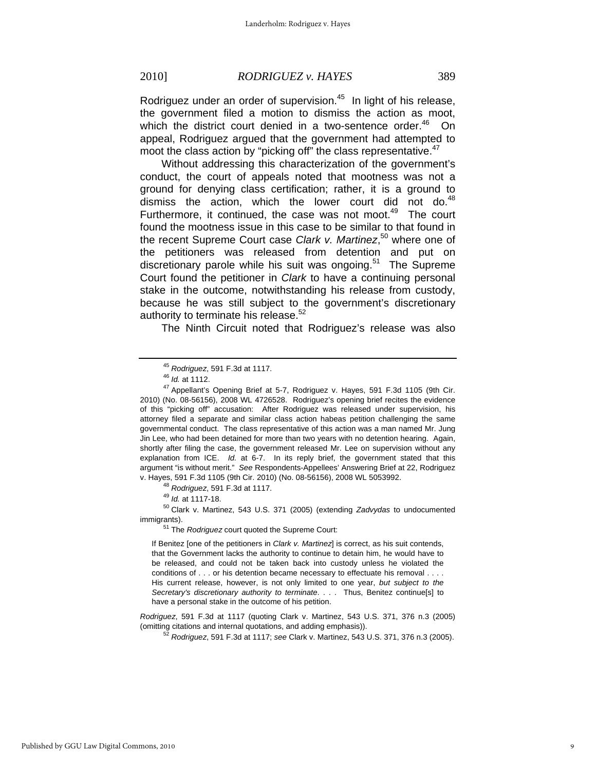Rodriguez under an order of supervision.<sup>45</sup> In light of his release, the government filed a motion to dismiss the action as moot, which the district court denied in a two-sentence order. $46$  On appeal, Rodriguez argued that the government had attempted to moot the class action by "picking off" the class representative.<sup>47</sup>

Without addressing this characterization of the government's conduct, the court of appeals noted that mootness was not a ground for denying class certification; rather, it is a ground to dismiss the action, which the lower court did not do. $48$ Furthermore, it continued, the case was not moot. $49$  The court found the mootness issue in this case to be similar to that found in the recent Supreme Court case *Clark v. Martinez*, 50 where one of the petitioners was released from detention and put on discretionary parole while his suit was ongoing.<sup>51</sup> The Supreme Court found the petitioner in *Clark* to have a continuing personal stake in the outcome, notwithstanding his release from custody, because he was still subject to the government's discretionary authority to terminate his release.<sup>52</sup>

The Ninth Circuit noted that Rodriguez's release was also

v. Hayes, 591 F.3d 1105 (9th Cir. 2010) (No. 08-56156), 2008 WL 5053992. 48 *Rodriguez*, 591 F.3d at 1117. 49 *Id.* at 1117-18. 50 Clark v. Martinez, 543 U.S. 371 (2005) (extending *Zadvydas* to undocumented immigrants).<br><sup>51</sup> The *Rodriguez* court quoted the Supreme Court:

If Benitez [one of the petitioners in *Clark v. Martinez*] is correct, as his suit contends, that the Government lacks the authority to continue to detain him, he would have to be released, and could not be taken back into custody unless he violated the conditions of . . . or his detention became necessary to effectuate his removal . . . . His current release, however, is not only limited to one year, *but subject to the Secretary's discretionary authority to terminate*. . . . Thus, Benitez continue[s] to have a personal stake in the outcome of his petition.

*Rodriguez*, 591 F.3d at 1117 (quoting Clark v. Martinez, 543 U.S. 371, 376 n.3 (2005) (omitting citations and internal quotations, and adding emphasis)). 52 *Rodriguez*, 591 F.3d at 1117; *see* Clark v. Martinez, 543 U.S. 371, 376 n.3 (2005).

<sup>&</sup>lt;sup>45</sup> *Rodriguez*, 591 F.3d at 1117.<br><sup>46</sup> *Id.* at 1112.<br><sup>47</sup> Appellant's Opening Brief at 5-7, Rodriguez v. Hayes, 591 F.3d 1105 (9th Cir. 2010) (No. 08-56156), 2008 WL 4726528. Rodriguez's opening brief recites the evidence of this "picking off" accusation: After Rodriguez was released under supervision, his attorney filed a separate and similar class action habeas petition challenging the same governmental conduct. The class representative of this action was a man named Mr. Jung Jin Lee, who had been detained for more than two years with no detention hearing. Again, shortly after filing the case, the government released Mr. Lee on supervision without any explanation from ICE. *Id.* at 6-7. In its reply brief, the government stated that this argument "is without merit." *See* Respondents-Appellees' Answering Brief at 22, Rodriguez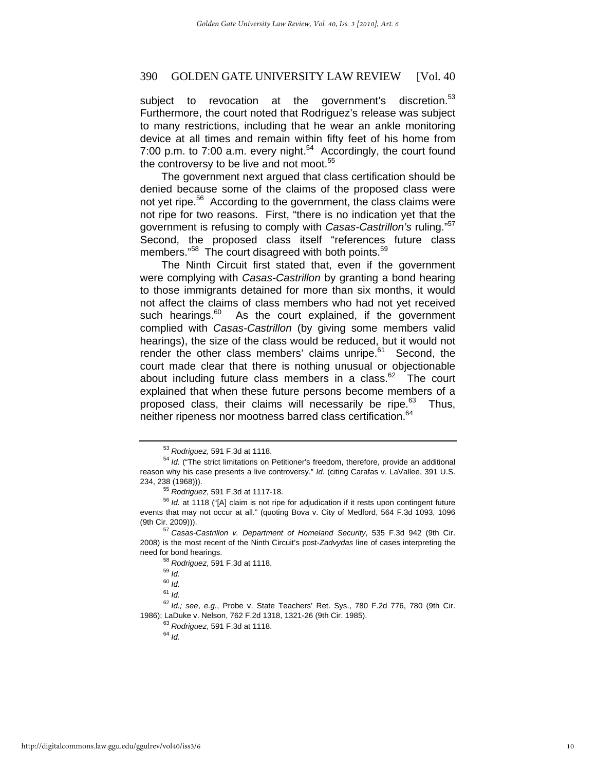subject to revocation at the government's discretion.<sup>53</sup> Furthermore, the court noted that Rodriguez's release was subject to many restrictions, including that he wear an ankle monitoring device at all times and remain within fifty feet of his home from 7:00 p.m. to  $7:00$  a.m. every night.<sup>54</sup> Accordingly, the court found the controversy to be live and not moot. $55$ 

The government next argued that class certification should be denied because some of the claims of the proposed class were not yet ripe.<sup>56</sup> According to the government, the class claims were not ripe for two reasons. First, "there is no indication yet that the government is refusing to comply with *Casas-Castrillon's* ruling."57 Second, the proposed class itself "references future class members."<sup>58</sup> The court disagreed with both points.<sup>59</sup>

The Ninth Circuit first stated that, even if the government were complying with *Casas-Castrillon* by granting a bond hearing to those immigrants detained for more than six months, it would not affect the claims of class members who had not yet received such hearings.<sup>60</sup> As the court explained, if the government complied with *Casas-Castrillon* (by giving some members valid hearings), the size of the class would be reduced, but it would not render the other class members' claims unripe.<sup>61</sup> Second, the court made clear that there is nothing unusual or objectionable about including future class members in a class. $62$  The court explained that when these future persons become members of a proposed class, their claims will necessarily be ripe. $63$  Thus, neither ripeness nor mootness barred class certification.<sup>64</sup>

<sup>&</sup>lt;sup>53</sup> Rodriguez, 591 F.3d at 1118.<br><sup>54</sup> Id. ("The strict limitations on Petitioner's freedom, therefore, provide an additional reason why his case presents a live controversy." *Id.* (citing Carafas v. LaVallee, 391 U.S. 234, 238 (1968))). 55 *Rodriguez*, 591 F.3d at 1117-18. 56 *Id.* at 1118 ("[A] claim is not ripe for adjudication if it rests upon contingent future

events that may not occur at all." (quoting Bova v. City of Medford, 564 F.3d 1093, 1096 (9th Cir. 2009))). 57 *Casas-Castrillon v. Department of Homeland Security*, 535 F.3d 942 (9th Cir.

<sup>2008)</sup> is the most recent of the Ninth Circuit's post-*Zadvydas* line of cases interpreting the need for bond hearings.<br><sup>58</sup> *Rodriguez*, 591 F.3d at 1118.<br><sup>59</sup> *Id.* 

<sup>60</sup> *Id.*

<sup>61</sup> *Id.*

<sup>62</sup> *Id.; see*, *e.g.*, Probe v. State Teachers' Ret. Sys., 780 F.2d 776, 780 (9th Cir. 1986); LaDuke v. Nelson, 762 F.2d 1318, 1321-26 (9th Cir. 1985). 63 *Rodriguez*, 591 F.3d at 1118. 64 *Id.*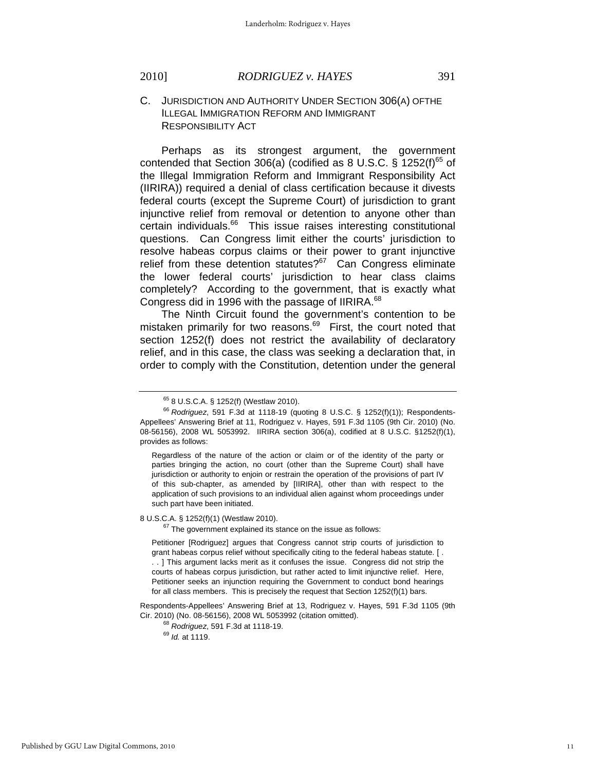Perhaps as its strongest argument, the government contended that Section 306(a) (codified as 8 U.S.C. § 1252(f) $^{65}$  of the Illegal Immigration Reform and Immigrant Responsibility Act (IIRIRA)) required a denial of class certification because it divests federal courts (except the Supreme Court) of jurisdiction to grant injunctive relief from removal or detention to anyone other than certain individuals.<sup>66</sup> This issue raises interesting constitutional questions. Can Congress limit either the courts' jurisdiction to resolve habeas corpus claims or their power to grant injunctive relief from these detention statutes? $67$  Can Congress eliminate the lower federal courts' jurisdiction to hear class claims completely? According to the government, that is exactly what Congress did in 1996 with the passage of IIRIRA.<sup>68</sup>

The Ninth Circuit found the government's contention to be mistaken primarily for two reasons.<sup>69</sup> First, the court noted that section 1252(f) does not restrict the availability of declaratory relief, and in this case, the class was seeking a declaration that, in order to comply with the Constitution, detention under the general

Regardless of the nature of the action or claim or of the identity of the party or parties bringing the action, no court (other than the Supreme Court) shall have jurisdiction or authority to enjoin or restrain the operation of the provisions of part IV of this sub-chapter, as amended by [IIRIRA], other than with respect to the application of such provisions to an individual alien against whom proceedings under such part have been initiated.

8 U.S.C.A. § 1252(f)(1) (Westlaw 2010).<br><sup>67</sup> The government explained its stance on the issue as follows:

Petitioner [Rodriguez] argues that Congress cannot strip courts of jurisdiction to grant habeas corpus relief without specifically citing to the federal habeas statute. [ . . . ] This argument lacks merit as it confuses the issue. Congress did not strip the courts of habeas corpus jurisdiction, but rather acted to limit injunctive relief. Here, Petitioner seeks an injunction requiring the Government to conduct bond hearings for all class members. This is precisely the request that Section 1252(f)(1) bars.

Respondents-Appellees' Answering Brief at 13, Rodriguez v. Hayes, 591 F.3d 1105 (9th Cir. 2010) (No. 08-56156), 2008 WL 5053992 (citation omitted). 68 *Rodriguez*, 591 F.3d at 1118-19. 69 *Id.* at 1119.

<sup>65 8</sup> U.S.C.A. § 1252(f) (Westlaw 2010).

<sup>66</sup> *Rodriguez*, 591 F.3d at 1118-19 (quoting 8 U.S.C. § 1252(f)(1)); Respondents-Appellees' Answering Brief at 11, Rodriguez v. Hayes, 591 F.3d 1105 (9th Cir. 2010) (No. 08-56156), 2008 WL 5053992. IIRIRA section 306(a), codified at 8 U.S.C. §1252(f)(1), provides as follows: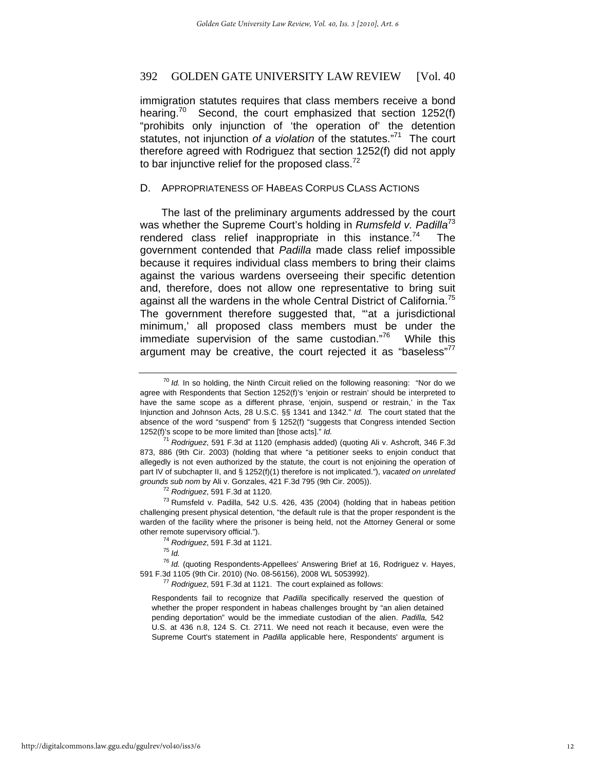immigration statutes requires that class members receive a bond hearing.<sup>70</sup> Second, the court emphasized that section 1252(f) "prohibits only injunction of 'the operation of' the detention statutes, not injunction *of a violation* of the statutes."71 The court therefore agreed with Rodriguez that section 1252(f) did not apply to bar injunctive relief for the proposed class. $<sup>72</sup>$ </sup>

# D. APPROPRIATENESS OF HABEAS CORPUS CLASS ACTIONS

The last of the preliminary arguments addressed by the court was whether the Supreme Court's holding in *Rumsfeld v. Padilla*<sup>73</sup> rendered class relief inappropriate in this instance.<sup>74</sup> The government contended that *Padilla* made class relief impossible because it requires individual class members to bring their claims against the various wardens overseeing their specific detention and, therefore, does not allow one representative to bring suit against all the wardens in the whole Central District of California.<sup>75</sup> The government therefore suggested that, ""at a jurisdictional minimum,' all proposed class members must be under the immediate supervision of the same custodian."76 While this argument may be creative, the court rejected it as "baseless"'

challenging present physical detention, "the default rule is that the proper respondent is the warden of the facility where the prisoner is being held, not the Attorney General or some other remote supervisory official."). 74 *Rodriguez*, 591 F.3d at 1121. 75 *Id.*

<sup>76</sup> *Id.* (quoting Respondents-Appellees' Answering Brief at 16, Rodriguez v. Hayes, 591 F.3d 1105 (9th Cir. 2010) (No. 08-56156), 2008 WL 5053992). 77 *Rodriguez*, 591 F.3d at 1121. The court explained as follows:

Respondents fail to recognize that *Padilla* specifically reserved the question of whether the proper respondent in habeas challenges brought by "an alien detained pending deportation" would be the immediate custodian of the alien. *Padilla,* 542 U.S. at 436 n.8, 124 S. Ct. 2711. We need not reach it because, even were the Supreme Court's statement in *Padilla* applicable here, Respondents' argument is

<sup>70</sup> *Id.* In so holding, the Ninth Circuit relied on the following reasoning: "Nor do we agree with Respondents that Section 1252(f)'s 'enjoin or restrain' should be interpreted to have the same scope as a different phrase, 'enjoin, suspend or restrain,' in the Tax Injunction and Johnson Acts, 28 U.S.C. §§ 1341 and 1342." *Id.* The court stated that the absence of the word "suspend" from § 1252(f) "suggests that Congress intended Section 1252(f)'s scope to be more limited than [those acts]." *Id.*

<sup>71</sup> *Rodriguez*, 591 F.3d at 1120 (emphasis added) (quoting Ali v. Ashcroft, 346 F.3d 873, 886 (9th Cir. 2003) (holding that where "a petitioner seeks to enjoin conduct that allegedly is not even authorized by the statute, the court is not enjoining the operation of part IV of subchapter II, and § 1252(f)(1) therefore is not implicated."), *vacated on unrelated grounds sub nom* by Ali v. Gonzales, 421 F.3d 795 (9th Cir. 2005)).<br><sup>72</sup> *Rodriguez*, 591 F.3d at 1120.<br><sup>73</sup> Rumsfeld v. Padilla, 542 U.S. 426, 435 (2004) (holding that in habeas petition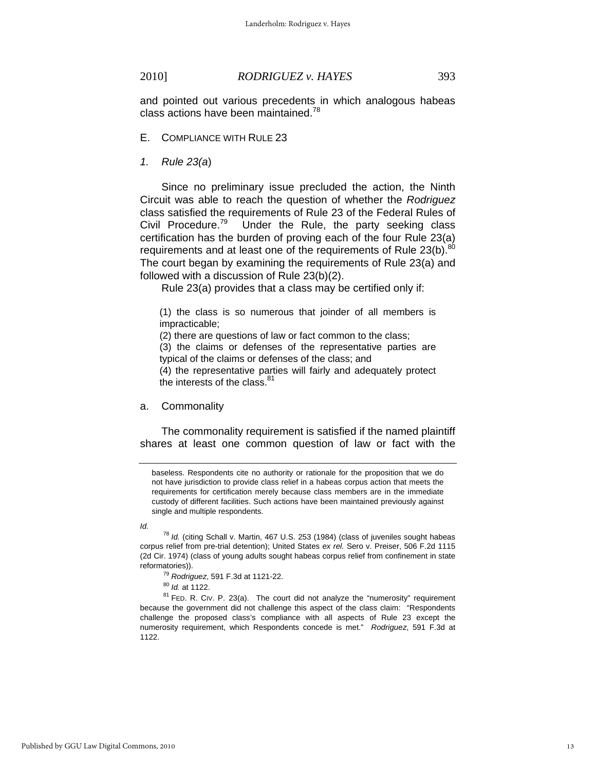and pointed out various precedents in which analogous habeas class actions have been maintained.<sup>78</sup>

#### E. COMPLIANCE WITH RULE 23

*1. Rule 23(a*)

Since no preliminary issue precluded the action, the Ninth Circuit was able to reach the question of whether the *Rodriguez* class satisfied the requirements of Rule 23 of the Federal Rules of<br>Civil Procedure.<sup>79</sup> Under the Rule, the party seeking class Under the Rule, the party seeking class certification has the burden of proving each of the four Rule 23(a) requirements and at least one of the requirements of Rule  $23(b)$ .<sup>80</sup> The court began by examining the requirements of Rule 23(a) and followed with a discussion of Rule 23(b)(2).

Rule 23(a) provides that a class may be certified only if:

(1) the class is so numerous that joinder of all members is impracticable;

(2) there are questions of law or fact common to the class;

(3) the claims or defenses of the representative parties are typical of the claims or defenses of the class; and

(4) the representative parties will fairly and adequately protect the interests of the class.<sup>81</sup>

#### a. Commonality

The commonality requirement is satisfied if the named plaintiff shares at least one common question of law or fact with the

*Id.*

because the government did not challenge this aspect of the class claim: "Respondents challenge the proposed class's compliance with all aspects of Rule 23 except the numerosity requirement, which Respondents concede is met." *Rodriguez*, 591 F.3d at 1122.

baseless. Respondents cite no authority or rationale for the proposition that we do not have jurisdiction to provide class relief in a habeas corpus action that meets the requirements for certification merely because class members are in the immediate custody of different facilities. Such actions have been maintained previously against single and multiple respondents.

<sup>78</sup> *Id.* (citing Schall v. Martin, 467 U.S. 253 (1984) (class of juveniles sought habeas corpus relief from pre-trial detention); United States *ex rel.* Sero v. Preiser, 506 F.2d 1115 (2d Cir. 1974) (class of young adults sought habeas corpus relief from confinement in state reformatories)).<br><sup>79</sup> Rodriguez, 591 F.3d at 1121-22.<br><sup>80</sup> *Id.* at 1122.<br><sup>81</sup> FED. R. CIV. P. 23(a). The court did not analyze the "numerosity" requirement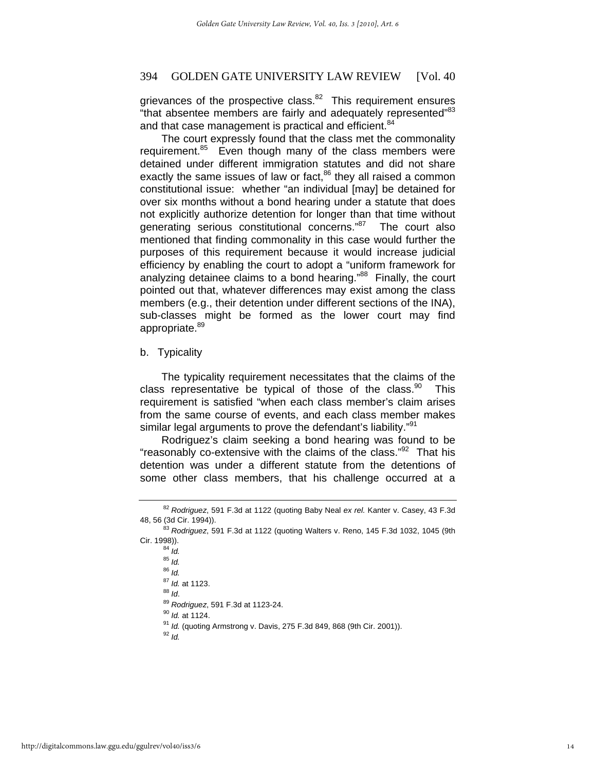grievances of the prospective class. $82$  This requirement ensures "that absentee members are fairly and adequately represented"<sup>83</sup> and that case management is practical and efficient.<sup>84</sup>

The court expressly found that the class met the commonality requirement.<sup>85</sup> Even though many of the class members were detained under different immigration statutes and did not share exactly the same issues of law or fact, $86$  they all raised a common constitutional issue: whether "an individual [may] be detained for over six months without a bond hearing under a statute that does not explicitly authorize detention for longer than that time without generating serious constitutional concerns."87 The court also mentioned that finding commonality in this case would further the purposes of this requirement because it would increase judicial efficiency by enabling the court to adopt a "uniform framework for analyzing detainee claims to a bond hearing."88 Finally, the court pointed out that, whatever differences may exist among the class members (e.g., their detention under different sections of the INA), sub-classes might be formed as the lower court may find appropriate.<sup>89</sup>

# b. Typicality

The typicality requirement necessitates that the claims of the class representative be typical of those of the class. $90$  This requirement is satisfied "when each class member's claim arises from the same course of events, and each class member makes similar legal arguments to prove the defendant's liability."<sup>91</sup>

Rodriguez's claim seeking a bond hearing was found to be "reasonably co-extensive with the claims of the class."<sup>92</sup> That his detention was under a different statute from the detentions of some other class members, that his challenge occurred at a

<sup>85</sup> *Id.* <sup>86</sup> *Id.*<br><sup>87</sup> *Id.* at 1123. 88 *Id.*<br><sup>89</sup> *Id.* 89<br><sup>90</sup> *Id.* at 1124.<br><sup>91</sup> *Id.* (quoting Armstrong v. Davis, 275 F.3d 849, 868 (9th Cir. 2001)).<br><sup>92</sup> *Id*.

<sup>82</sup> *Rodriguez*, 591 F.3d at 1122 (quoting Baby Neal *ex rel.* Kanter v. Casey, 43 F.3d 48, 56 (3d Cir. 1994)). 83 *Rodriguez*, 591 F.3d at 1122 (quoting Walters v. Reno, 145 F.3d 1032, 1045 (9th

Cir. 1998)).<br><sup>84</sup> *Id.*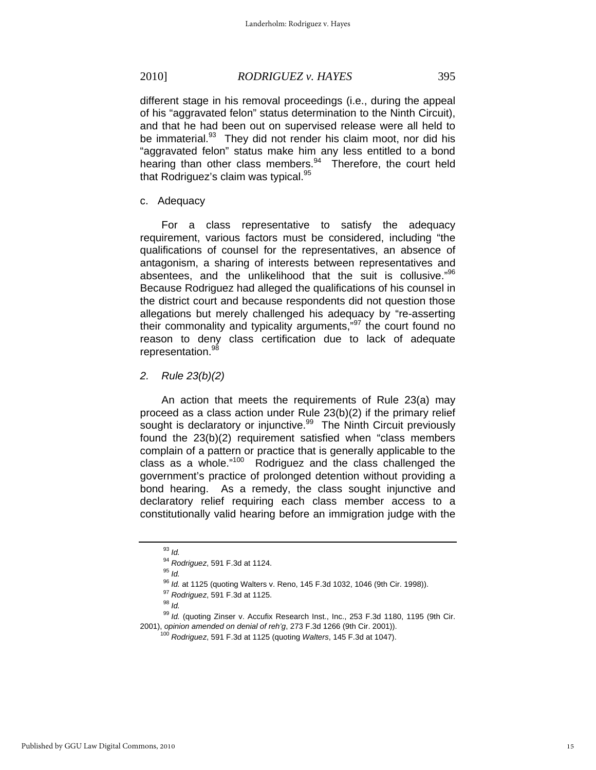different stage in his removal proceedings (i.e., during the appeal of his "aggravated felon" status determination to the Ninth Circuit), and that he had been out on supervised release were all held to be immaterial.<sup>93</sup> They did not render his claim moot, nor did his "aggravated felon" status make him any less entitled to a bond hearing than other class members.<sup>94</sup> Therefore, the court held that Rodriguez's claim was typical. $95$ 

### c. Adequacy

For a class representative to satisfy the adequacy requirement, various factors must be considered, including "the qualifications of counsel for the representatives, an absence of antagonism, a sharing of interests between representatives and absentees, and the unlikelihood that the suit is collusive."96 Because Rodriguez had alleged the qualifications of his counsel in the district court and because respondents did not question those allegations but merely challenged his adequacy by "re-asserting their commonality and typicality arguments,"97 the court found no reason to deny class certification due to lack of adequate representation.<sup>98</sup>

# *2. Rule 23(b)(2)*

An action that meets the requirements of Rule 23(a) may proceed as a class action under Rule 23(b)(2) if the primary relief sought is declaratory or injunctive.<sup>99</sup> The Ninth Circuit previously found the 23(b)(2) requirement satisfied when "class members complain of a pattern or practice that is generally applicable to the class as a whole."<sup>100</sup> Rodriguez and the class challenged the government's practice of prolonged detention without providing a bond hearing. As a remedy, the class sought injunctive and declaratory relief requiring each class member access to a constitutionally valid hearing before an immigration judge with the

<sup>93</sup> *Id.*

<sup>94</sup> *Rodriguez*, 591 F.3d at 1124. 95 *Id.*

<sup>96</sup> *Id.* at 1125 (quoting Walters v. Reno, 145 F.3d 1032, 1046 (9th Cir. 1998)).<br><sup>97</sup> *Rodriguez*, 591 F.3d at 1125.<br><sup>98</sup> *Id* 

<sup>&</sup>lt;sup>99</sup> Id. (quoting Zinser v. Accufix Research Inst., Inc., 253 F.3d 1180, 1195 (9th Cir. 2001), opinion amended on denial of reh'g, 273 F.3d 1266 (9th Cir. 2001)).

<sup>2001),</sup> *opinion amended on denial of reh'g*, 273 F.3d 1266 (9th Cir. 2001)). 100 *Rodriguez*, 591 F.3d at 1125 (quoting *Walters*, 145 F.3d at 1047).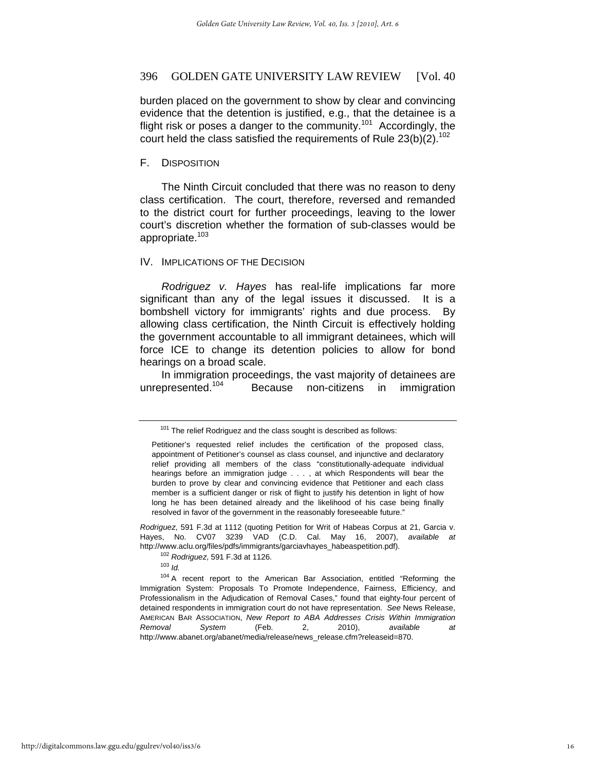burden placed on the government to show by clear and convincing evidence that the detention is justified, e.g., that the detainee is a flight risk or poses a danger to the community.<sup>101</sup> Accordingly, the court held the class satisfied the requirements of Rule  $23(b)(2)$ <sup>102</sup>

#### F. DISPOSITION

The Ninth Circuit concluded that there was no reason to deny class certification. The court, therefore, reversed and remanded to the district court for further proceedings, leaving to the lower court's discretion whether the formation of sub-classes would be appropriate.103

#### IV. IMPLICATIONS OF THE DECISION

*Rodriguez v. Hayes* has real-life implications far more significant than any of the legal issues it discussed. It is a bombshell victory for immigrants' rights and due process. By allowing class certification, the Ninth Circuit is effectively holding the government accountable to all immigrant detainees, which will force ICE to change its detention policies to allow for bond hearings on a broad scale.

In immigration proceedings, the vast majority of detainees are unrepresented.<sup>104</sup> Because non-citizens in immigration

*Rodriguez*, 591 F.3d at 1112 (quoting Petition for Writ of Habeas Corpus at 21, Garcia v. Hayes, No. CV07 3239 VAD (C.D. Cal. May 16, 2007), *available at*  http://www.aclu.org/files/pdfs/immigrants/garciavhayes\_habeaspetition.pdf).<br><sup>102</sup> *Rodriguez*, 591 F.3d at 1126.<br><sup>103</sup> *Id.* 

<sup>104</sup> A recent report to the American Bar Association, entitled "Reforming the Immigration System: Proposals To Promote Independence, Fairness, Efficiency, and Professionalism in the Adjudication of Removal Cases," found that eighty-four percent of detained respondents in immigration court do not have representation. *See* News Release, AMERICAN BAR ASSOCIATION, *New Report to ABA Addresses Crisis Within Immigration Removal System* (Feb. 2, 2010), *available at* http://www.abanet.org/abanet/media/release/news\_release.cfm?releaseid=870.

 $101$  The relief Rodriguez and the class sought is described as follows:

Petitioner's requested relief includes the certification of the proposed class, appointment of Petitioner's counsel as class counsel, and injunctive and declaratory relief providing all members of the class "constitutionally-adequate individual hearings before an immigration judge . . . , at which Respondents will bear the burden to prove by clear and convincing evidence that Petitioner and each class member is a sufficient danger or risk of flight to justify his detention in light of how long he has been detained already and the likelihood of his case being finally resolved in favor of the government in the reasonably foreseeable future."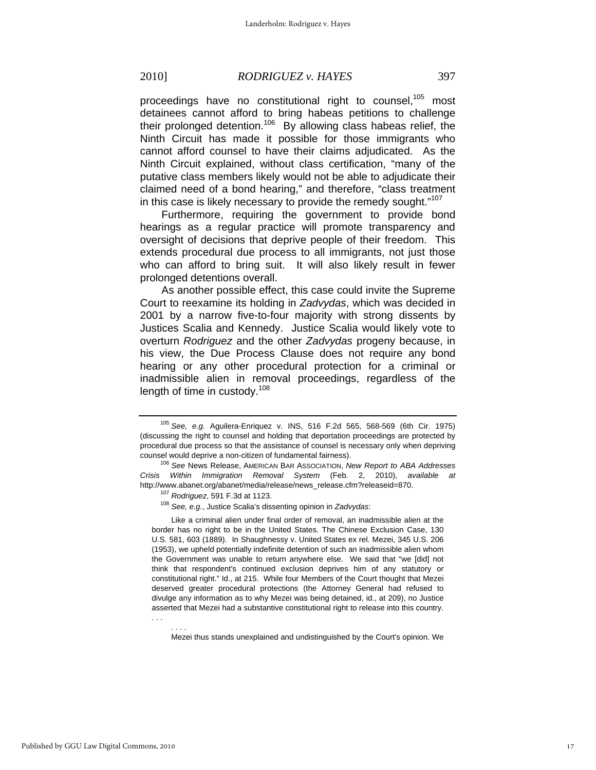proceedings have no constitutional right to counsel,<sup>105</sup> most detainees cannot afford to bring habeas petitions to challenge their prolonged detention.106 By allowing class habeas relief, the Ninth Circuit has made it possible for those immigrants who cannot afford counsel to have their claims adjudicated. As the Ninth Circuit explained, without class certification, "many of the putative class members likely would not be able to adjudicate their claimed need of a bond hearing," and therefore, "class treatment in this case is likely necessary to provide the remedy sought."<sup>107</sup>

Furthermore, requiring the government to provide bond hearings as a regular practice will promote transparency and oversight of decisions that deprive people of their freedom. This extends procedural due process to all immigrants, not just those who can afford to bring suit. It will also likely result in fewer prolonged detentions overall.

As another possible effect, this case could invite the Supreme Court to reexamine its holding in *Zadvydas*, which was decided in 2001 by a narrow five-to-four majority with strong dissents by Justices Scalia and Kennedy. Justice Scalia would likely vote to overturn *Rodriguez* and the other *Zadvydas* progeny because, in his view, the Due Process Clause does not require any bond hearing or any other procedural protection for a criminal or inadmissible alien in removal proceedings, regardless of the length of time in custody.<sup>108</sup>

. . .

 Like a criminal alien under final order of removal, an inadmissible alien at the border has no right to be in the United States. The Chinese Exclusion Case, 130 U.S. 581, 603 (1889). In Shaughnessy v. United States ex rel. Mezei, 345 U.S. 206 (1953), we upheld potentially indefinite detention of such an inadmissible alien whom the Government was unable to return anywhere else. We said that "we [did] not think that respondent's continued exclusion deprives him of any statutory or constitutional right." Id., at 215. While four Members of the Court thought that Mezei deserved greater procedural protections (the Attorney General had refused to divulge any information as to why Mezei was being detained, id., at 209), no Justice asserted that Mezei had a substantive constitutional right to release into this country.

 . . . . Mezei thus stands unexplained and undistinguished by the Court's opinion. We

<sup>105</sup> *See, e.g.* Aguilera-Enriquez v. INS, 516 F.2d 565, 568-569 (6th Cir. 1975) (discussing the right to counsel and holding that deportation proceedings are protected by procedural due process so that the assistance of counsel is necessary only when depriving counsel would deprive a non-citizen of fundamental fairness). 106 *See* News Release, AMERICAN BAR ASSOCIATION, *New Report to ABA Addresses* 

*Crisis Within Immigration Removal System* (Feb. 2, 2010), *available at* http://www.abanet.org/abanet/media/release/news\_release.cfm?releaseid=870. 107 *Rodriguez*, 591 F.3d at 1123. 108 *See, e.g.*, Justice Scalia's dissenting opinion in *Zadvydas*: